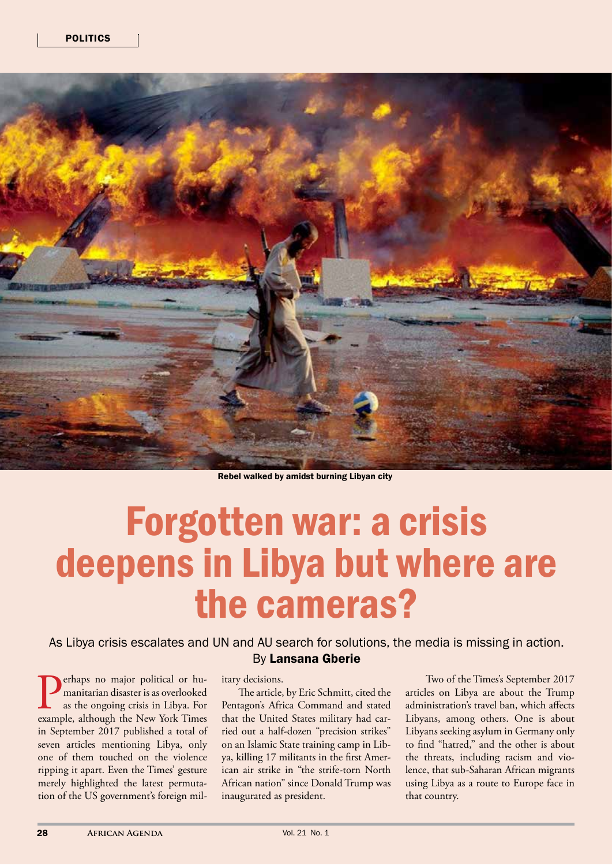

Rebel walked by amidst burning Libyan city

## Forgotten war: a crisis deepens in Libya but where are the cameras?

As Libya crisis escalates and UN and AU search for solutions, the media is missing in action. By Lansana Gberie

**Perhaps no major political or humanitarian disaster is as overlooked** as the ongoing crisis in Libya. For example, although the New York Times manitarian disaster is as overlooked as the ongoing crisis in Libya. For in September 2017 published a total of seven articles mentioning Libya, only one of them touched on the violence ripping it apart. Even the Times' gesture merely highlighted the latest permutation of the US government's foreign mil-

## itary decisions.

 The article, by Eric Schmitt, cited the Pentagon's Africa Command and stated that the United States military had carried out a half-dozen "precision strikes" on an Islamic State training camp in Libya, killing 17 militants in the first American air strike in "the strife-torn North African nation" since Donald Trump was inaugurated as president.

Two of the Times's September 2017 articles on Libya are about the Trump administration's travel ban, which affects Libyans, among others. One is about Libyans seeking asylum in Germany only to find "hatred," and the other is about the threats, including racism and violence, that sub-Saharan African migrants using Libya as a route to Europe face in that country.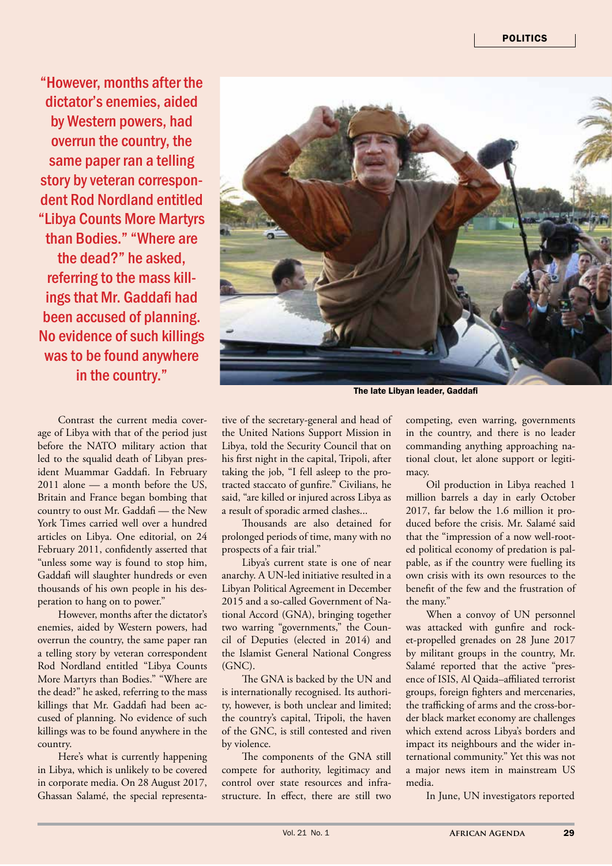"However, months after the dictator's enemies, aided by Western powers, had overrun the country, the same paper ran a telling story by veteran correspondent Rod Nordland entitled "Libya Counts More Martyrs than Bodies." "Where are the dead?" he asked, referring to the mass killings that Mr. Gaddafi had been accused of planning. No evidence of such killings was to be found anywhere in the country."

Contrast the current media coverage of Libya with that of the period just before the NATO military action that led to the squalid death of Libyan president Muammar Gaddafi. In February 2011 alone — a month before the US, Britain and France began bombing that country to oust Mr. Gaddafi — the New York Times carried well over a hundred articles on Libya. One editorial, on 24 February 2011, confidently asserted that "unless some way is found to stop him, Gaddafi will slaughter hundreds or even thousands of his own people in his desperation to hang on to power."

However, months after the dictator's enemies, aided by Western powers, had overrun the country, the same paper ran a telling story by veteran correspondent Rod Nordland entitled "Libya Counts More Martyrs than Bodies." "Where are the dead?" he asked, referring to the mass killings that Mr. Gaddafi had been accused of planning. No evidence of such killings was to be found anywhere in the country.

Here's what is currently happening in Libya, which is unlikely to be covered in corporate media. On 28 August 2017, Ghassan Salamé, the special representa-



The late Libyan leader, Gaddafi

tive of the secretary-general and head of the United Nations Support Mission in Libya, told the Security Council that on his first night in the capital, Tripoli, after taking the job, "I fell asleep to the protracted staccato of gunfire." Civilians, he said, "are killed or injured across Libya as a result of sporadic armed clashes...

Thousands are also detained for prolonged periods of time, many with no prospects of a fair trial."

Libya's current state is one of near anarchy. A UN-led initiative resulted in a Libyan Political Agreement in December 2015 and a so-called Government of National Accord (GNA), bringing together two warring "governments," the Council of Deputies (elected in 2014) and the Islamist General National Congress (GNC).

The GNA is backed by the UN and is internationally recognised. Its authority, however, is both unclear and limited; the country's capital, Tripoli, the haven of the GNC, is still contested and riven by violence.

The components of the GNA still compete for authority, legitimacy and control over state resources and infrastructure. In effect, there are still two

competing, even warring, governments in the country, and there is no leader commanding anything approaching national clout, let alone support or legitimacy.

Oil production in Libya reached 1 million barrels a day in early October 2017, far below the 1.6 million it produced before the crisis. Mr. Salamé said that the "impression of a now well-rooted political economy of predation is palpable, as if the country were fuelling its own crisis with its own resources to the benefit of the few and the frustration of the many."

When a convoy of UN personnel was attacked with gunfire and rocket-propelled grenades on 28 June 2017 by militant groups in the country, Mr. Salamé reported that the active "presence of ISIS, Al Qaida–affiliated terrorist groups, foreign fighters and mercenaries, the trafficking of arms and the cross-border black market economy are challenges which extend across Libya's borders and impact its neighbours and the wider international community." Yet this was not a major news item in mainstream US media.

In June, UN investigators reported